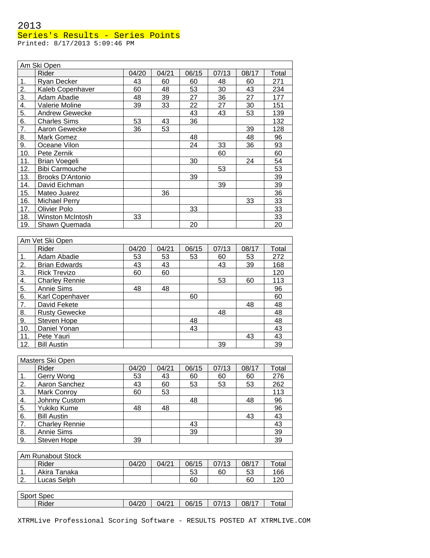# 2013 Series's Results - Series Points

Printed: 8/17/2013 5:09:46 PM

|     | Am Ski Open           |        |        |       |       |       |                  |
|-----|-----------------------|--------|--------|-------|-------|-------|------------------|
|     | Rider                 | 04/20  | 04/21  | 06/15 | 07/13 | 08/17 | Total            |
| 1.  | Ryan Decker           | 43     | 60     | 60    | 48    | 60    | 271              |
| 2.  | Kaleb Copenhaver      | 60     | 48     | 53    | 30    | 43    | 234              |
| 3.  | Adam Abadie           | 48     | 39     | 27    | 36    | 27    | 177              |
| 4.  | Valerie Moline        | 39     | 33     | 22    | 27    | 30    | 151              |
| 5.  | Andrew Gewecke        |        |        | 43    | 43    | 53    | 139              |
| 6.  | <b>Charles Sims</b>   | 53     | 43     | 36    |       |       | 132              |
| 7.  | Aaron Gewecke         | 36     | 53     |       |       | 39    | 128              |
| 8.  | Mark Gomez            |        |        | 48    |       | 48    | 96               |
| 9.  | Oceane Vilon          |        |        | 24    | 33    | 36    | 93               |
| 10. | Pete Zernik           |        |        |       | 60    |       | 60               |
| 11. | Brian Voegeli         |        |        | 30    |       | 24    | 54               |
| 12. | <b>Bibi Carmouche</b> |        |        |       | 53    |       | 53               |
| 13. | Brooks D'Antonio      |        |        | 39    |       |       | 39               |
| 14. | David Eichman         |        |        |       | 39    |       | 39               |
| 15. | Mateo Juarez          |        | 36     |       |       |       | 36               |
| 16. | <b>Michael Perry</b>  |        |        |       |       | 33    | 33               |
| 17. | Olivier Polo          |        |        | 33    |       |       | 33               |
| 18. | Winston McIntosh      | 33     |        |       |       |       | 33               |
| 19. | Shawn Quemada         |        |        | 20    |       |       | 20               |
|     |                       |        |        |       |       |       |                  |
|     | Am Vet Ski Open       |        |        |       |       |       |                  |
|     | Diday                 | 0.4/20 | 0.4/04 | OCIAE | 07/40 | 00/47 | $T_{\alpha}$ tal |

|     | Rider                 | 04/20 | 04/21 | 06/15 | 07/13 | 08/17 | Total |
|-----|-----------------------|-------|-------|-------|-------|-------|-------|
|     | Adam Abadie           | 53    | 53    | 53    | 60    | 53    | 272   |
| 2.  | <b>Brian Edwards</b>  | 43    | 43    |       | 43    | 39    | 168   |
| 3.  | <b>Rick Trevizo</b>   | 60    | 60    |       |       |       | 120   |
| 4.  | <b>Charley Rennie</b> |       |       |       | 53    | 60    | 113   |
| 5.  | <b>Annie Sims</b>     | 48    | 48    |       |       |       | 96    |
| 6.  | Karl Copenhaver       |       |       | 60    |       |       | 60    |
| 7.  | David Fekete          |       |       |       |       | 48    | 48    |
| 8.  | <b>Rusty Gewecke</b>  |       |       |       | 48    |       | 48    |
| 9.  | Steven Hope           |       |       | 48    |       |       | 48    |
| 10. | Daniel Yonan          |       |       | 43    |       |       | 43    |
| 11. | Pete Yauri            |       |       |       |       | 43    | 43    |
| 12. | <b>Bill Austin</b>    |       |       |       | 39    |       | 39    |

|    | Masters Ski Open      |       |       |       |       |       |       |
|----|-----------------------|-------|-------|-------|-------|-------|-------|
|    | Rider                 | 04/20 | 04/21 | 06/15 | 07/13 | 08/17 | Total |
|    | Gerry Wong            | 53    | 43    | 60    | 60    | 60    | 276   |
| 2. | Aaron Sanchez         | 43    | 60    | 53    | 53    | 53    | 262   |
| 3. | Mark Conroy           | 60    | 53    |       |       |       | 113   |
| 4. | Johnny Custom         |       |       | 48    |       | 48    | 96    |
| 5. | Yukiko Kume           | 48    | 48    |       |       |       | 96    |
| 6. | <b>Bill Austin</b>    |       |       |       |       | 43    | 43    |
| 7. | <b>Charley Rennie</b> |       |       | 43    |       |       | 43    |
| 8. | Annie Sims            |       |       | 39    |       |       | 39    |
| 9. | Steven Hope           | 39    |       |       |       |       | 39    |

|        | Am Runabout Stock |       |       |       |       |       |             |
|--------|-------------------|-------|-------|-------|-------|-------|-------------|
|        | Rider             | 04/20 | 04/21 | 06/15 | 07/13 | 08/17 | $\tau$ otal |
| . .    | Akira Tanaka      |       |       | 53    | 60    | 53    | 166         |
| $\sim$ | Lucas Selph       |       |       | 60    |       | 60    | 120         |
|        |                   |       |       |       |       |       |             |

| $\sim$<br>Sport<br>Spec |               |       |       |       |       |      |
|-------------------------|---------------|-------|-------|-------|-------|------|
| Rider                   | 04/20<br>᠇៸∠៶ | 04/21 | 06/15 | 77/13 | 08/17 | σται |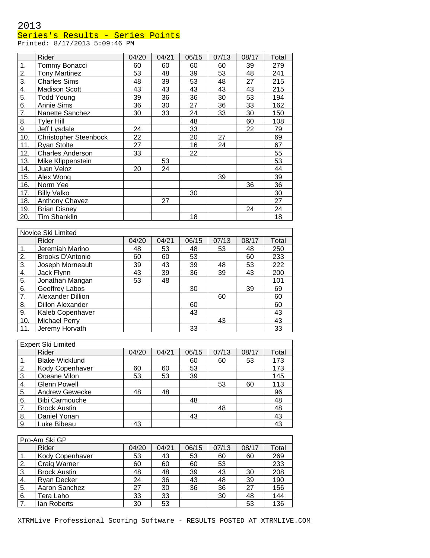### Series's Results - Series Points

Printed: 8/17/2013 5:09:46 PM

|     | Rider                        | 04/20 | 04/21 | 06/15 | 07/13 | 08/17 | Total |
|-----|------------------------------|-------|-------|-------|-------|-------|-------|
| 1.  | Tommy Bonacci                | 60    | 60    | 60    | 60    | 39    | 279   |
| 2.  | <b>Tony Martinez</b>         | 53    | 48    | 39    | 53    | 48    | 241   |
| 3.  | <b>Charles Sims</b>          | 48    | 39    | 53    | 48    | 27    | 215   |
| 4.  | <b>Madison Scott</b>         | 43    | 43    | 43    | 43    | 43    | 215   |
| 5.  | Todd Young                   | 39    | 36    | 36    | 30    | 53    | 194   |
| 6.  | <b>Annie Sims</b>            | 36    | 30    | 27    | 36    | 33    | 162   |
| 7.  | Nanette Sanchez              | 30    | 33    | 24    | 33    | 30    | 150   |
| 8.  | <b>Tyler Hill</b>            |       |       | 48    |       | 60    | 108   |
| 9.  | Jeff Lysdale                 | 24    |       | 33    |       | 22    | 79    |
| 10. | <b>Christopher Steenbock</b> | 22    |       | 20    | 27    |       | 69    |
| 11. | <b>Ryan Stolte</b>           | 27    |       | 16    | 24    |       | 67    |
| 12. | <b>Charles Anderson</b>      | 33    |       | 22    |       |       | 55    |
| 13. | Mike Klippenstein            |       | 53    |       |       |       | 53    |
| 14. | Juan Veloz                   | 20    | 24    |       |       |       | 44    |
| 15. | Alex Wong                    |       |       |       | 39    |       | 39    |
| 16. | Norm Yee                     |       |       |       |       | 36    | 36    |
| 17. | <b>Billy Valko</b>           |       |       | 30    |       |       | 30    |
| 18. | <b>Anthony Chavez</b>        |       | 27    |       |       |       | 27    |
| 19. | <b>Brian Disney</b>          |       |       |       |       | 24    | 24    |
| 20. | Tim Shanklin                 |       |       | 18    |       |       | 18    |
|     | Novice Ski Limited           |       |       |       |       |       |       |

|     | <b>INUVILE ON LITTINGU</b> |       |       |       |       |       |       |  |  |  |  |
|-----|----------------------------|-------|-------|-------|-------|-------|-------|--|--|--|--|
|     | Rider                      | 04/20 | 04/21 | 06/15 | 07/13 | 08/17 | Total |  |  |  |  |
|     | Jeremiah Marino            | 48    | 53    | 48    | 53    | 48    | 250   |  |  |  |  |
| 2.  | Brooks D'Antonio           | 60    | 60    | 53    |       | 60    | 233   |  |  |  |  |
| 3.  | Joseph Morneault           | 39    | 43    | 39    | 48    | 53    | 222   |  |  |  |  |
| 4.  | Jack Flynn                 | 43    | 39    | 36    | 39    | 43    | 200   |  |  |  |  |
| 5.  | Jonathan Mangan            | 53    | 48    |       |       |       | 101   |  |  |  |  |
| 6.  | Geoffrey Labos             |       |       | 30    |       | 39    | 69    |  |  |  |  |
| 7.  | <b>Alexander Dillion</b>   |       |       |       | 60    |       | 60    |  |  |  |  |
| 8.  | <b>Dillon Alexander</b>    |       |       | 60    |       |       | 60    |  |  |  |  |
| 9.  | Kaleb Copenhaver           |       |       | 43    |       |       | 43    |  |  |  |  |
| 10. | <b>Michael Perry</b>       |       |       |       | 43    |       | 43    |  |  |  |  |
| 11. | Jeremy Horvath             |       |       | 33    |       |       | 33    |  |  |  |  |

|    | <b>Expert Ski Limited</b> |       |       |       |       |       |       |
|----|---------------------------|-------|-------|-------|-------|-------|-------|
|    | Rider                     | 04/20 | 04/21 | 06/15 | 07/13 | 08/17 | Total |
|    | <b>Blake Wicklund</b>     |       |       | 60    | 60    | 53    | 173   |
| 2. | Kody Copenhaver           | 60    | 60    | 53    |       |       | 173   |
| 3. | Oceane Vilon              | 53    | 53    | 39    |       |       | 145   |
| 4. | <b>Glenn Powell</b>       |       |       |       | 53    | 60    | 113   |
| 5. | <b>Andrew Gewecke</b>     | 48    | 48    |       |       |       | 96    |
| 6. | <b>Bibi Carmouche</b>     |       |       | 48    |       |       | 48    |
| 7. | <b>Brock Austin</b>       |       |       |       | 48    |       | 48    |
| 8. | Daniel Yonan              |       |       | 43    |       |       | 43    |
| 9. | Luke Bibeau               | 43    |       |       |       |       | 43    |

|    | Pro-Am Ski GP       |       |       |       |       |       |       |
|----|---------------------|-------|-------|-------|-------|-------|-------|
|    | Rider               | 04/20 | 04/21 | 06/15 | 07/13 | 08/17 | Total |
|    | Kody Copenhaver     | 53    | 43    | 53    | 60    | 60    | 269   |
| 2. | Craig Warner        | 60    | 60    | 60    | 53    |       | 233   |
| 3. | <b>Brock Austin</b> | 48    | 48    | 39    | 43    | 30    | 208   |
| 4. | Ryan Decker         | 24    | 36    | 43    | 48    | 39    | 190   |
| 5. | Aaron Sanchez       | 27    | 30    | 36    | 36    | 27    | 156   |
| 6. | Tera Laho           | 33    | 33    |       | 30    | 48    | 144   |
| 7. | lan Roberts         | 30    | 53    |       |       | 53    | 136   |

XTRMLive Professional Scoring Software - RESULTS POSTED AT XTRMLIVE.COM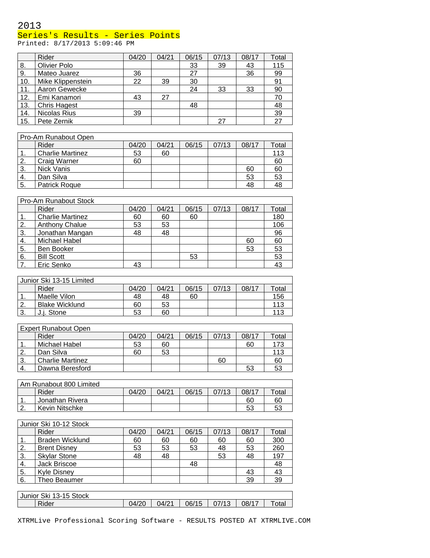### Series's Results - Series Points

Printed: 8/17/2013 5:09:46 PM

|                        | Rider                       | 04/20 | 04/21 | 06/15 | 07/13 | 08/17 | Total      |
|------------------------|-----------------------------|-------|-------|-------|-------|-------|------------|
| 8.                     | Olivier Polo                |       |       | 33    | 39    | 43    | 115        |
| 9.                     | Mateo Juarez                | 36    |       | 27    |       | 36    | 99         |
| 10.                    | Mike Klippenstein           | 22    | 39    | 30    |       |       | 91         |
| 11.                    | Aaron Gewecke               |       |       | 24    | 33    | 33    | 90         |
| 12.                    | Emi Kanamori                | 43    | 27    |       |       |       | 70         |
| 13.                    | <b>Chris Hagest</b>         |       |       | 48    |       |       | 48         |
| 14.                    | Nicolas Rius                | 39    |       |       |       |       | 39         |
| 15.                    | Pete Zernik                 |       |       |       | 27    |       | 27         |
|                        |                             |       |       |       |       |       |            |
|                        | Pro-Am Runabout Open        |       |       |       |       |       |            |
|                        | Rider                       | 04/20 | 04/21 | 06/15 | 07/13 | 08/17 | Total      |
| 1.                     | <b>Charlie Martinez</b>     | 53    | 60    |       |       |       | 113        |
| 2.                     | Craig Warner                | 60    |       |       |       |       | 60         |
| 3.                     | Nick Vanis                  |       |       |       |       | 60    | 60         |
| 4.                     | Dan Silva                   |       |       |       |       | 53    | 53         |
| 5.                     | Patrick Roque               |       |       |       |       | 48    | 48         |
|                        |                             |       |       |       |       |       |            |
|                        | Pro-Am Runabout Stock       |       |       |       |       |       |            |
|                        | Rider                       | 04/20 | 04/21 | 06/15 | 07/13 | 08/17 | Total      |
| 1.                     | <b>Charlie Martinez</b>     | 60    | 60    | 60    |       |       | 180        |
| 2.                     | <b>Anthony Chalue</b>       | 53    | 53    |       |       |       | 106        |
| 3.                     | Jonathan Mangan             | 48    | 48    |       |       |       | 96         |
| 4.                     | Michael Habel               |       |       |       |       | 60    | 60         |
| 5.                     | Ben Booker                  |       |       |       |       | 53    | 53         |
| 6.                     | <b>Bill Scott</b>           |       |       | 53    |       |       | 53         |
| 7.                     | Eric Senko                  | 43    |       |       |       |       | 43         |
|                        |                             |       |       |       |       |       |            |
|                        | Junior Ski 13-15 Limited    |       |       |       |       |       |            |
|                        | Rider                       | 04/20 | 04/21 | 06/15 | 07/13 | 08/17 | Total      |
| 1.                     | Maelle Vilon                | 48    | 48    | 60    |       |       | 156        |
|                        |                             |       |       |       |       |       |            |
| 2.                     | <b>Blake Wicklund</b>       | 60    | 53    |       |       |       | 113        |
| 3.                     | J.j. Stone                  | 53    | 60    |       |       |       | 113        |
|                        | <b>Expert Runabout Open</b> |       |       |       |       |       |            |
|                        | Rider                       | 04/20 | 04/21 | 06/15 | 07/13 | 08/17 | Total      |
|                        | Michael Habel               |       |       |       |       | 60    |            |
| 1.<br>$\overline{2}$ . |                             | 53    | 60    |       |       |       | 173<br>113 |
|                        | Dan Silva                   | 60    | 53    |       |       |       |            |
| 3.                     | <b>Charlie Martinez</b>     |       |       |       | 60    |       | 60         |
| 4.                     | Dawna Beresford             |       |       |       |       | 53    | 53         |
|                        |                             |       |       |       |       |       |            |
|                        | Am Runabout 800 Limited     |       |       |       |       |       |            |
|                        | Rider                       | 04/20 | 04/21 | 06/15 | 07/13 | 08/17 | Total      |
| 1.                     | Jonathan Rivera             |       |       |       |       | 60    | 60         |
| 2.                     | Kevin Nitschke              |       |       |       |       | 53    | 53         |
|                        |                             |       |       |       |       |       |            |
|                        | Junior Ski 10-12 Stock      |       |       |       |       |       |            |
|                        | Rider                       | 04/20 | 04/21 | 06/15 | 07/13 | 08/17 | Total      |
| 1.                     | <b>Braden Wicklund</b>      | 60    | 60    | 60    | 60    | 60    | 300        |
| 2.                     | <b>Brent Disney</b>         | 53    | 53    | 53    | 48    | 53    | 260        |
| 3.                     | <b>Skylar Stone</b>         | 48    | 48    |       | 53    | 48    | 197        |
| 4.                     | Jack Briscoe                |       |       | 48    |       |       | 48         |
| 5.                     | <b>Kyle Disney</b>          |       |       |       |       | 43    | 43         |
| 6.                     | Theo Beaumer                |       |       |       |       | 39    | 39         |
|                        |                             |       |       |       |       |       |            |
|                        | Junior Ski 13-15 Stock      |       |       |       |       |       |            |
|                        | Rider                       | 04/20 | 04/21 | 06/15 | 07/13 | 08/17 | Total      |

XTRMLive Professional Scoring Software - RESULTS POSTED AT XTRMLIVE.COM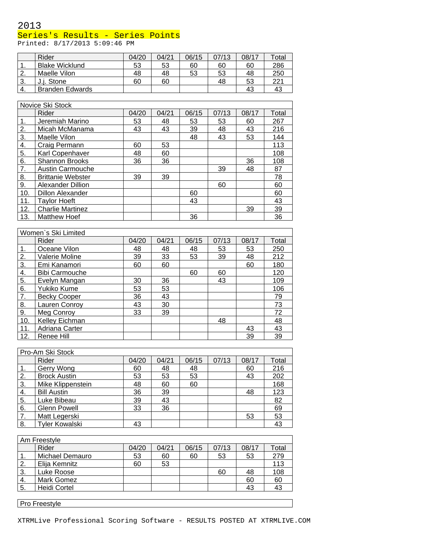### Series's Results - Series Points

Printed: 8/17/2013 5:09:46 PM

|     | Rider                  | 04/20 | 04/21 | 06/15 | 07/13 | 08/17 | Total |
|-----|------------------------|-------|-------|-------|-------|-------|-------|
| . . | <b>Blake Wicklund</b>  | 53    | 53    | 60    | 60    | 60    | 286   |
| 2.  | Maelle Vilon           | 48    | 48    | 53    | 53    | 48    | 250   |
| 3.  | J.i. Stone             | 60    | 60    |       | 48    | 53    | 221   |
| 4.  | <b>Branden Edwards</b> |       |       |       |       | 43    | 43    |

|     | Novice Ski Stock         |       |       |       |       |       |       |  |  |  |  |
|-----|--------------------------|-------|-------|-------|-------|-------|-------|--|--|--|--|
|     | Rider                    | 04/20 | 04/21 | 06/15 | 07/13 | 08/17 | Total |  |  |  |  |
| 1.  | Jeremiah Marino          | 53    | 48    | 53    | 53    | 60    | 267   |  |  |  |  |
| 2.  | Micah McManama           | 43    | 43    | 39    | 48    | 43    | 216   |  |  |  |  |
| 3.  | Maelle Vilon             |       |       | 48    | 43    | 53    | 144   |  |  |  |  |
| 4.  | Craig Permann            | 60    | 53    |       |       |       | 113   |  |  |  |  |
| 5.  | Karl Copenhaver          | 48    | 60    |       |       |       | 108   |  |  |  |  |
| 6.  | <b>Shannon Brooks</b>    | 36    | 36    |       |       | 36    | 108   |  |  |  |  |
| 7.  | <b>Austin Carmouche</b>  |       |       |       | 39    | 48    | 87    |  |  |  |  |
| 8.  | <b>Brittanie Webster</b> | 39    | 39    |       |       |       | 78    |  |  |  |  |
| 9.  | Alexander Dillion        |       |       |       | 60    |       | 60    |  |  |  |  |
| 10. | <b>Dillon Alexander</b>  |       |       | 60    |       |       | 60    |  |  |  |  |
| 11. | <b>Tavlor Hoeft</b>      |       |       | 43    |       |       | 43    |  |  |  |  |
| 12. | <b>Charlie Martinez</b>  |       |       |       |       | 39    | 39    |  |  |  |  |
| 13. | <b>Matthew Hoef</b>      |       |       | 36    |       |       | 36    |  |  |  |  |

|     | Women's Ski Limited   |       |       |       |       |       |       |
|-----|-----------------------|-------|-------|-------|-------|-------|-------|
|     | Rider                 | 04/20 | 04/21 | 06/15 | 07/13 | 08/17 | Total |
| 1.  | Oceane Vilon          | 48    | 48    | 48    | 53    | 53    | 250   |
| 2.  | Valerie Moline        | 39    | 33    | 53    | 39    | 48    | 212   |
| 3.  | Emi Kanamori          | 60    | 60    |       |       | 60    | 180   |
| 4.  | <b>Bibi Carmouche</b> |       |       | 60    | 60    |       | 120   |
| 5.  | Evelyn Mangan         | 30    | 36    |       | 43    |       | 109   |
| 6.  | Yukiko Kume           | 53    | 53    |       |       |       | 106   |
| 7.  | <b>Becky Cooper</b>   | 36    | 43    |       |       |       | 79    |
| 8.  | Lauren Conroy         | 43    | 30    |       |       |       | 73    |
| 9.  | Meg Conroy            | 33    | 39    |       |       |       | 72    |
| 10. | Kelley Eichman        |       |       |       | 48    |       | 48    |
| 11. | Adriana Carter        |       |       |       |       | 43    | 43    |
| 12. | Renee Hill            |       |       |       |       | 39    | 39    |

 $\overline{\phantom{0}}$ 

|    | Pro-Am Ski Stock      |       |       |       |       |       |       |
|----|-----------------------|-------|-------|-------|-------|-------|-------|
|    | Rider                 | 04/20 | 04/21 | 06/15 | 07/13 | 08/17 | Total |
|    | Gerry Wong            | 60    | 48    | 48    |       | 60    | 216   |
| 2. | <b>Brock Austin</b>   | 53    | 53    | 53    |       | 43    | 202   |
| 3. | Mike Klippenstein     | 48    | 60    | 60    |       |       | 168   |
| 4. | <b>Bill Austin</b>    | 36    | 39    |       |       | 48    | 123   |
| 5. | Luke Bibeau           | 39    | 43    |       |       |       | 82    |
| 6. | <b>Glenn Powell</b>   | 33    | 36    |       |       |       | 69    |
| 7. | Matt Legerski         |       |       |       |       | 53    | 53    |
| 8. | <b>Tyler Kowalski</b> | 43    |       |       |       |       | 43    |

|    | Am Freestyle    |       |       |       |       |       |       |
|----|-----------------|-------|-------|-------|-------|-------|-------|
|    | Rider           | 04/20 | 04/21 | 06/15 | 07/13 | 08/17 | Total |
|    | Michael Demauro | 53    | 60    | 60    | 53    | 53    | 279   |
| 2. | Elija Kemnitz   | 60    | 53    |       |       |       | 113   |
| 3. | Luke Roose      |       |       |       | 60    | 48    | 108   |
| 4. | Mark Gomez      |       |       |       |       | 60    | 60    |
| 5. | Heidi Cortel    |       |       |       |       | 43    | 43    |
|    |                 |       |       |       |       |       |       |

**Pro Freestyle** 

XTRMLive Professional Scoring Software - RESULTS POSTED AT XTRMLIVE.COM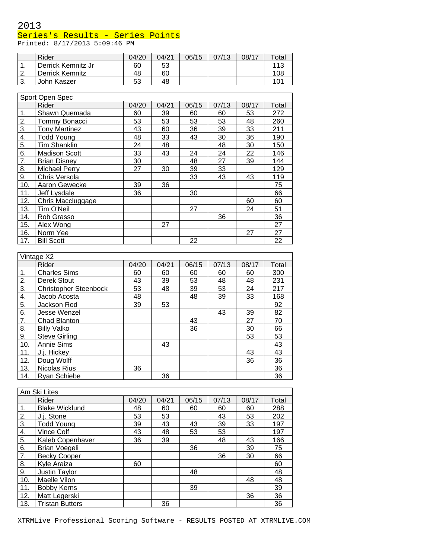### Series's Results - Series Points

Printed: 8/17/2013 5:09:46 PM

|          | Rider              | 04/20 | 04/21 | 06/15 | 07/13 | 08/17 | Total |
|----------|--------------------|-------|-------|-------|-------|-------|-------|
| . .      | Derrick Kemnitz Jr | 60    | 53    |       |       |       | 113   |
| <u>.</u> | Derrick Kemnitz    | 48    | 60    |       |       |       | 108   |
| J.       | John Kaszer        | 53    | 48    |       |       |       | 101   |

|     | Sport Open Spec      |       |       |       |       |       |       |
|-----|----------------------|-------|-------|-------|-------|-------|-------|
|     | Rider                | 04/20 | 04/21 | 06/15 | 07/13 | 08/17 | Total |
| 1.  | Shawn Quemada        | 60    | 39    | 60    | 60    | 53    | 272   |
| 2.  | Tommy Bonacci        | 53    | 53    | 53    | 53    | 48    | 260   |
| 3.  | <b>Tony Martinez</b> | 43    | 60    | 36    | 39    | 33    | 211   |
| 4.  | <b>Todd Young</b>    | 48    | 33    | 43    | 30    | 36    | 190   |
| 5.  | <b>Tim Shanklin</b>  | 24    | 48    |       | 48    | 30    | 150   |
| 6.  | <b>Madison Scott</b> | 33    | 43    | 24    | 24    | 22    | 146   |
| 7.  | <b>Brian Disney</b>  | 30    |       | 48    | 27    | 39    | 144   |
| 8.  | <b>Michael Perry</b> | 27    | 30    | 39    | 33    |       | 129   |
| 9.  | Chris Versola        |       |       | 33    | 43    | 43    | 119   |
| 10. | Aaron Gewecke        | 39    | 36    |       |       |       | 75    |
| 11. | Jeff Lysdale         | 36    |       | 30    |       |       | 66    |
| 12. | Chris Maccluggage    |       |       |       |       | 60    | 60    |
| 13. | Tim O'Neil           |       |       | 27    |       | 24    | 51    |
| 14. | Rob Grasso           |       |       |       | 36    |       | 36    |
| 15. | Alex Wong            |       | 27    |       |       |       | 27    |
| 16. | Norm Yee             |       |       |       |       | 27    | 27    |
| 17. | <b>Bill Scott</b>    |       |       | 22    |       |       | 22    |

|     | Vintage X2                   |       |       |       |       |       |       |
|-----|------------------------------|-------|-------|-------|-------|-------|-------|
|     | Rider                        | 04/20 | 04/21 | 06/15 | 07/13 | 08/17 | Total |
| 1.  | <b>Charles Sims</b>          | 60    | 60    | 60    | 60    | 60    | 300   |
| 2.  | Derek Stout                  | 43    | 39    | 53    | 48    | 48    | 231   |
| 3.  | <b>Christopher Steenbock</b> | 53    | 48    | 39    | 53    | 24    | 217   |
| 4.  | Jacob Acosta                 | 48    |       | 48    | 39    | 33    | 168   |
| 5.  | Jackson Rod                  | 39    | 53    |       |       |       | 92    |
| 6.  | Jesse Wenzel                 |       |       |       | 43    | 39    | 82    |
| 7.  | Chad Blanton                 |       |       | 43    |       | 27    | 70    |
| 8.  | <b>Billy Valko</b>           |       |       | 36    |       | 30    | 66    |
| 9.  | <b>Steve Girling</b>         |       |       |       |       | 53    | 53    |
| 10. | <b>Annie Sims</b>            |       | 43    |       |       |       | 43    |
| 11. | J.j. Hickey                  |       |       |       |       | 43    | 43    |
| 12. | Doug Wolff                   |       |       |       |       | 36    | 36    |
| 13. | Nicolas Rius                 | 36    |       |       |       |       | 36    |
| 14. | <b>Ryan Schiebe</b>          |       | 36    |       |       |       | 36    |

|     | Am Ski Lites           |       |       |       |       |       |       |
|-----|------------------------|-------|-------|-------|-------|-------|-------|
|     | Rider                  | 04/20 | 04/21 | 06/15 | 07/13 | 08/17 | Total |
| 1.  | <b>Blake Wicklund</b>  | 48    | 60    | 60    | 60    | 60    | 288   |
| 2.  | J.j. Stone             | 53    | 53    |       | 43    | 53    | 202   |
| 3.  | <b>Todd Young</b>      | 39    | 43    | 43    | 39    | 33    | 197   |
| 4.  | Vince Colf             | 43    | 48    | 53    | 53    |       | 197   |
| 5.  | Kaleb Copenhaver       | 36    | 39    |       | 48    | 43    | 166   |
| 6.  | <b>Brian Voegeli</b>   |       |       | 36    |       | 39    | 75    |
| 7.  | <b>Becky Cooper</b>    |       |       |       | 36    | 30    | 66    |
| 8.  | Kyle Araiza            | 60    |       |       |       |       | 60    |
| 9.  | Justin Taylor          |       |       | 48    |       |       | 48    |
| 10. | Maelle Vilon           |       |       |       |       | 48    | 48    |
| 11. | <b>Bobby Kerns</b>     |       |       | 39    |       |       | 39    |
| 12. | Matt Legerski          |       |       |       |       | 36    | 36    |
| 13. | <b>Tristan Butters</b> |       | 36    |       |       |       | 36    |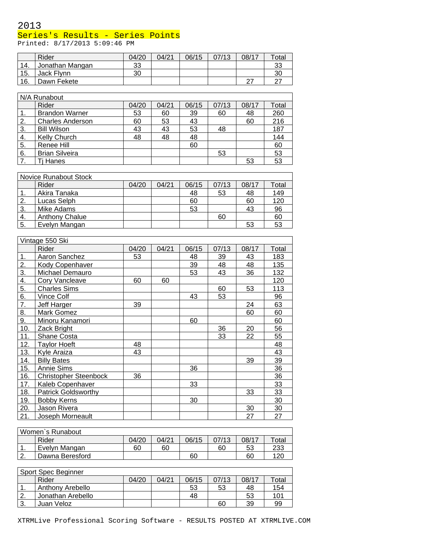### Series's Results - Series Points

Printed: 8/17/2013 5:09:46 PM

|     | Rider           | 04/20 | 04/21 | 06/15 | 07/13 | 08/17 | Total |
|-----|-----------------|-------|-------|-------|-------|-------|-------|
| 14. | Jonathan Mangan | 33    |       |       |       |       | 33    |
| 15. | Jack Flynn      | 30    |       |       |       |       | 30    |
| 16. | Dawn Fekete     |       |       |       |       | ົ     |       |

|    | N/A Runabout            |       |       |       |       |       |       |  |  |  |  |
|----|-------------------------|-------|-------|-------|-------|-------|-------|--|--|--|--|
|    | Rider                   | 04/20 | 04/21 | 06/15 | 07/13 | 08/17 | Total |  |  |  |  |
|    | <b>Brandon Warner</b>   | 53    | 60    | 39    | 60    | 48    | 260   |  |  |  |  |
| 2. | <b>Charles Anderson</b> | 60    | 53    | 43    |       | 60    | 216   |  |  |  |  |
| 3. | <b>Bill Wilson</b>      | 43    | 43    | 53    | 48    |       | 187   |  |  |  |  |
| 4. | <b>Kelly Church</b>     | 48    | 48    | 48    |       |       | 144   |  |  |  |  |
| 5. | Renee Hill              |       |       | 60    |       |       | 60    |  |  |  |  |
| 6. | <b>Brian Silveira</b>   |       |       |       | 53    |       | 53    |  |  |  |  |
|    | Ti Hanes                |       |       |       |       | 53    | 53    |  |  |  |  |

|     | Novice Runabout Stock |       |       |       |       |       |       |
|-----|-----------------------|-------|-------|-------|-------|-------|-------|
|     | Rider                 | 04/20 | 04/21 | 06/15 | 07/13 | 08/17 | Total |
|     | Akira Tanaka          |       |       | 48    | 53    | 48    | 149   |
|     | Lucas Selph           |       |       | 60    |       | 60    | 120   |
| 3.  | Mike Adams            |       |       | 53    |       | 43    | 96    |
| 4.  | <b>Anthony Chalue</b> |       |       |       | 60    |       | 60    |
| -5. | Evelyn Mangan         |       |       |       |       | 53    | 53    |

|     | Vintage 550 Ski              |       |       |       |       |       |       |
|-----|------------------------------|-------|-------|-------|-------|-------|-------|
|     | Rider                        | 04/20 | 04/21 | 06/15 | 07/13 | 08/17 | Total |
| 1.  | Aaron Sanchez                | 53    |       | 48    | 39    | 43    | 183   |
| 2.  | Kody Copenhaver              |       |       | 39    | 48    | 48    | 135   |
| 3.  | Michael Demauro              |       |       | 53    | 43    | 36    | 132   |
| 4.  | Cory Vancleave               | 60    | 60    |       |       |       | 120   |
| 5.  | <b>Charles Sims</b>          |       |       |       | 60    | 53    | 113   |
| 6.  | Vince Colf                   |       |       | 43    | 53    |       | 96    |
| 7.  | Jeff Harger                  | 39    |       |       |       | 24    | 63    |
| 8.  | Mark Gomez                   |       |       |       |       | 60    | 60    |
| 9.  | Minoru Kanamori              |       |       | 60    |       |       | 60    |
| 10. | Zack Bright                  |       |       |       | 36    | 20    | 56    |
| 11. | Shane Costa                  |       |       |       | 33    | 22    | 55    |
| 12. | <b>Taylor Hoeft</b>          | 48    |       |       |       |       | 48    |
| 13. | Kyle Araiza                  | 43    |       |       |       |       | 43    |
| 14. | <b>Billy Bates</b>           |       |       |       |       | 39    | 39    |
| 15. | Annie Sims                   |       |       | 36    |       |       | 36    |
| 16. | <b>Christopher Steenbock</b> | 36    |       |       |       |       | 36    |
| 17. | Kaleb Copenhaver             |       |       | 33    |       |       | 33    |
| 18. | <b>Patrick Goldsworthy</b>   |       |       |       |       | 33    | 33    |
| 19. | <b>Bobby Kerns</b>           |       |       | 30    |       |       | 30    |
| 20. | Jason Rivera                 |       |       |       |       | 30    | 30    |
| 21. | Joseph Morneault             |       |       |       |       | 27    | 27    |

| Women's Runabout |                 |       |       |       |       |       |             |  |  |  |
|------------------|-----------------|-------|-------|-------|-------|-------|-------------|--|--|--|
|                  | Rider           | 04/20 | 04/21 | 06/15 | 07/13 | 08/17 | $\tau$ otal |  |  |  |
| . .              | Evelvn Mangan   | 60    | 60    |       | 60    | 53    | 233         |  |  |  |
| ◠<br><u>.</u>    | Dawna Beresford |       |       | 60    |       | 60    | 120         |  |  |  |

| Sport Spec Beginner |                   |       |       |       |       |       |       |
|---------------------|-------------------|-------|-------|-------|-------|-------|-------|
|                     | Rider             | 04/20 | 04/21 | 06/15 | 07/13 | 08/17 | Total |
| . .                 | Anthony Arebello  |       |       | 53    | 53    | 48    | 154   |
| ົ                   | Jonathan Arebello |       |       | 48    |       | 53    | 101   |
| ີ<br>J.             | Juan Veloz        |       |       |       | 60    | 39    | 99    |

XTRMLive Professional Scoring Software - RESULTS POSTED AT XTRMLIVE.COM

 $\overline{\phantom{0}}$